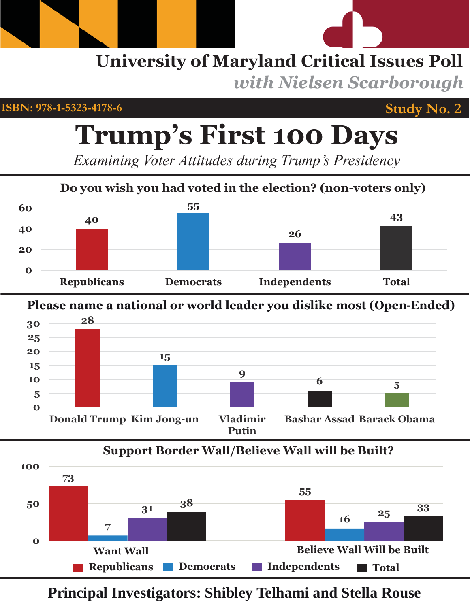# **University of Maryland Critical Issues Poll**  *with Nielsen Scarborough*

**ISBN: 978-1-5323-4178-6**

## **Study No. 2**

# **Trump's First 100 Days**

*Examining Voter Attitudes during Trump's Presidency*



**Please name a national or world leader you dislike most (Open-Ended)**



# **Support Border Wall/Believe Wall will be Built?**



**Principal Investigators: Shibley Telhami and Stella Rouse**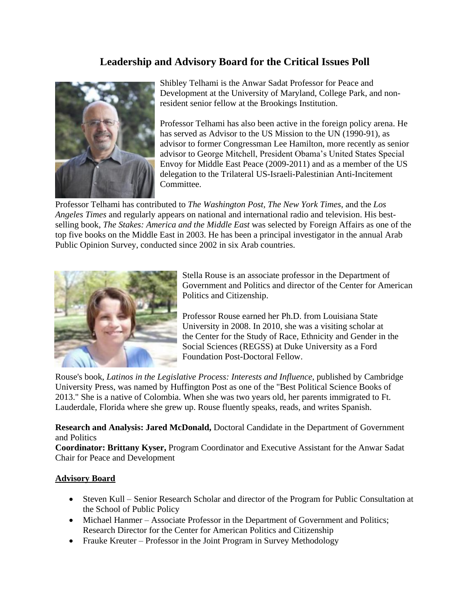#### **Leadership and Advisory Board for the Critical Issues Poll**



Shibley Telhami is the Anwar Sadat Professor for Peace and Development at the University of Maryland, College Park, and nonresident senior fellow at the Brookings Institution.

Professor Telhami has also been active in the foreign policy arena. He has served as Advisor to the US Mission to the UN (1990-91), as advisor to former Congressman Lee Hamilton, more recently as senior advisor to George Mitchell, President Obama's United States Special Envoy for Middle East Peace (2009-2011) and as a member of the US delegation to the Trilateral US-Israeli-Palestinian Anti-Incitement Committee.

Professor Telhami has contributed to *The Washington Post, The New York Times*, and the *Los Angeles Times* and regularly appears on national and international radio and television. His bestselling book, *The Stakes: America and the Middle East* was selected by Foreign Affairs as one of the top five books on the Middle East in 2003. He has been a principal investigator in the annual Arab Public Opinion Survey, conducted since 2002 in six Arab countries.



Stella Rouse is an associate professor in the Department of Government and Politics and director of the Center for American Politics and Citizenship.

Professor Rouse earned her Ph.D. from Louisiana State University in 2008. In 2010, she was a visiting scholar at the Center for the Study of Race, Ethnicity and Gender in the Social Sciences (REGSS) at Duke University as a Ford Foundation Post-Doctoral Fellow.

Rouse's book, *Latinos in the Legislative Process: Interests and Influence*, published by Cambridge University Press, was named by Huffington Post as one of the "Best Political Science Books of 2013." She is a native of Colombia. When she was two years old, her parents immigrated to Ft. Lauderdale, Florida where she grew up. Rouse fluently speaks, reads, and writes Spanish.

**Research and Analysis: Jared McDonald,** Doctoral Candidate in the Department of Government and Politics

**Coordinator: Brittany Kyser,** Program Coordinator and Executive Assistant for the Anwar Sadat Chair for Peace and Development

#### **Advisory Board**

- Steven Kull Senior Research Scholar and director of the Program for Public Consultation at the School of Public Policy
- Michael Hanmer Associate Professor in the Department of Government and Politics; Research Director for the Center for American Politics and Citizenship
- Frauke Kreuter Professor in the Joint Program in Survey Methodology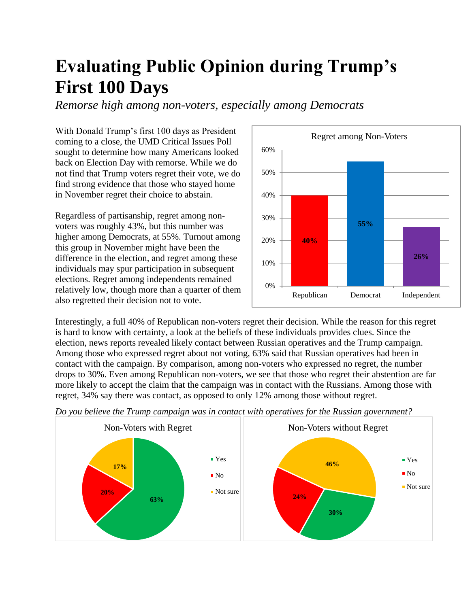# **Evaluating Public Opinion during Trump's First 100 Days**

*Remorse high among non-voters, especially among Democrats* 

With Donald Trump's first 100 days as President coming to a close, the UMD Critical Issues Poll sought to determine how many Americans looked back on Election Day with remorse. While we do not find that Trump voters regret their vote, we do find strong evidence that those who stayed home in November regret their choice to abstain.

Regardless of partisanship, regret among nonvoters was roughly 43%, but this number was higher among Democrats, at 55%. Turnout among this group in November might have been the difference in the election, and regret among these individuals may spur participation in subsequent elections. Regret among independents remained relatively low, though more than a quarter of them also regretted their decision not to vote.



Interestingly, a full 40% of Republican non-voters regret their decision. While the reason for this regret is hard to know with certainty, a look at the beliefs of these individuals provides clues. Since the election, news reports revealed likely contact between Russian operatives and the Trump campaign. Among those who expressed regret about not voting, 63% said that Russian operatives had been in contact with the campaign. By comparison, among non-voters who expressed no regret, the number drops to 30%. Even among Republican non-voters, we see that those who regret their abstention are far more likely to accept the claim that the campaign was in contact with the Russians. Among those with regret, 34% say there was contact, as opposed to only 12% among those without regret.

*Do you believe the Trump campaign was in contact with operatives for the Russian government?*

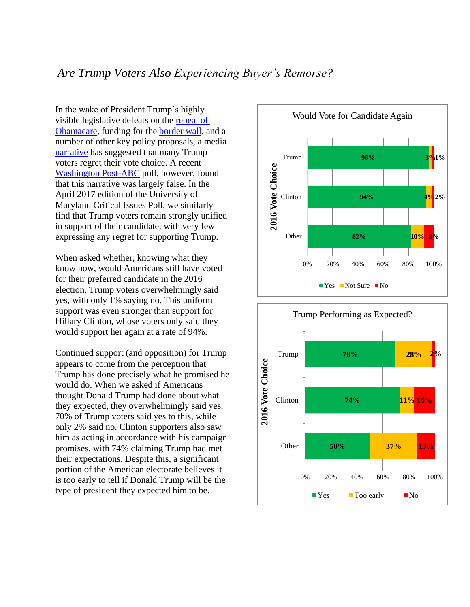#### *Are Trump Voters Also Experiencing Buyer's Remorse?*

In the wake of President Trump's highly visible legislative defeats on the [repeal of](http://time.com/4713107/donald-trump-transcript-ahca-bill/)  [Obamacare,](http://time.com/4713107/donald-trump-transcript-ahca-bill/) funding for the [border wall,](http://www.bbc.com/news/world-us-canada-39708768) and a number of other key policy proposals, a media [narrative](http://www.chicagotribune.com/news/nationworld/midwest/ct-iowa-trump-voter-regrets-20170226-story.html) has suggested that many Trump voters regret their vote choice. A recent [Washington Post-ABC](https://www.washingtonpost.com/news/the-fix/wp/2017/04/23/trump-voters-dont-have-buyers-remorse-but-some-hillary-clinton-voters-do/?utm_term=.df1891c6ff1f) poll, however, found that this narrative was largely false. In the April 2017 edition of the University of Maryland Critical Issues Poll, we similarly find that Trump voters remain strongly unified in support of their candidate, with very few expressing any regret for supporting Trump.

When asked whether, knowing what they know now, would Americans still have voted for their preferred candidate in the 2016 election, Trump voters overwhelmingly said yes, with only 1% saying no. This uniform support was even stronger than support for Hillary Clinton, whose voters only said they would support her again at a rate of 94%.

Continued support (and opposition) for Trump appears to come from the perception that Trump has done precisely what he promised he would do. When we asked if Americans thought Donald Trump had done about what they expected, they overwhelmingly said yes. 70% of Trump voters said yes to this, while only 2% said no. Clinton supporters also saw him as acting in accordance with his campaign promises, with 74% claiming Trump had met their expectations. Despite this, a significant portion of the American electorate believes it is too early to tell if Donald Trump will be the type of president they expected him to be.



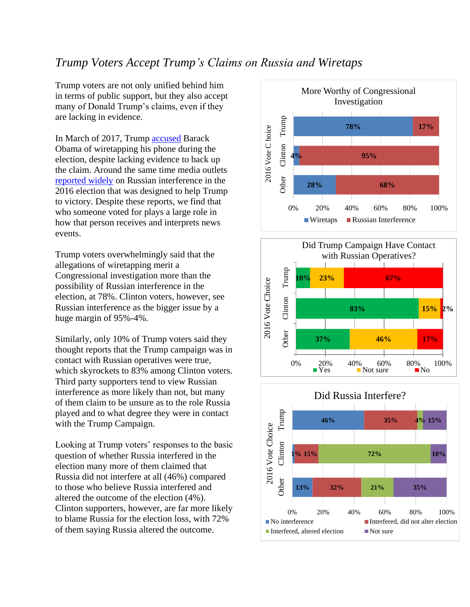#### *Trump Voters Accept Trump's Claims on Russia and Wiretaps*

Trump voters are not only unified behind him in terms of public support, but they also accept many of Donald Trump's claims, even if they are lacking in evidence.

In March of 2017, Trump [accused](https://www.nytimes.com/2017/03/04/us/politics/trump-obama-tap-phones.html) Barack Obama of wiretapping his phone during the election, despite lacking evidence to back up the claim. Around the same time media outlets [reported widely](https://www.nytimes.com/2017/03/20/us/politics/intelligence-committee-russia-donald-trump.html) on Russian interference in the 2016 election that was designed to help Trump to victory. Despite these reports, we find that who someone voted for plays a large role in how that person receives and interprets news events.

Trump voters overwhelmingly said that the allegations of wiretapping merit a Congressional investigation more than the possibility of Russian interference in the election, at 78%. Clinton voters, however, see Russian interference as the bigger issue by a huge margin of 95%-4%.

Similarly, only 10% of Trump voters said they thought reports that the Trump campaign was in contact with Russian operatives were true, which skyrockets to 83% among Clinton voters. Third party supporters tend to view Russian interference as more likely than not, but many of them claim to be unsure as to the role Russia played and to what degree they were in contact with the Trump Campaign.

Looking at Trump voters' responses to the basic question of whether Russia interfered in the election many more of them claimed that Russia did not interfere at all (46%) compared to those who believe Russia interfered and altered the outcome of the election (4%). Clinton supporters, however, are far more likely to blame Russia for the election loss, with 72% of them saying Russia altered the outcome.





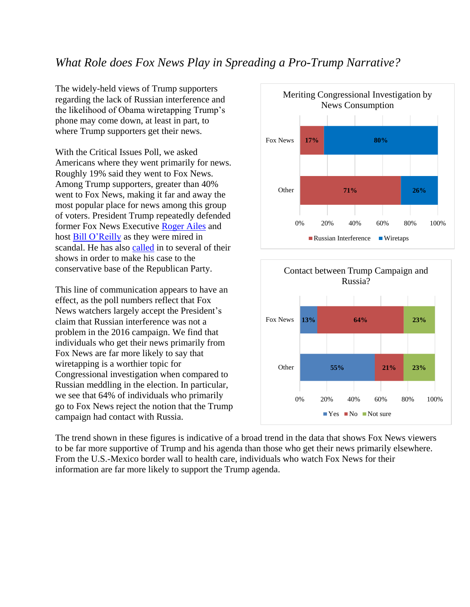#### *What Role does Fox News Play in Spreading a Pro-Trump Narrative?*

The widely-held views of Trump supporters regarding the lack of Russian interference and the likelihood of Obama wiretapping Trump's phone may come down, at least in part, to where Trump supporters get their news.

With the Critical Issues Poll, we asked Americans where they went primarily for news. Roughly 19% said they went to Fox News. Among Trump supporters, greater than 40% went to Fox News, making it far and away the most popular place for news among this group of voters. President Trump repeatedly defended former Fox News Executive [Roger Ailes](https://www.washingtonpost.com/news/post-politics/wp/2016/07/24/donald-trump-defends-roger-ailes-casts-suspicion-on-his-accusers/?utm_term=.e4d432780c4c) and host [Bill O'Reilly](http://abcnews.go.com/Politics/trump-defends-fox-news-oreilly-amid-sexual-misconduct/story?id=46601141) as they were mired in scandal. He has also [called](http://www.latimes.com/nation/politics/trailguide/la-na-republican-convention-2016-live-in-middle-of-emotional-plea-on-1468889684-htmlstory.html) in to several of their shows in order to make his case to the conservative base of the Republican Party.

This line of communication appears to have an effect, as the poll numbers reflect that Fox News watchers largely accept the President's claim that Russian interference was not a problem in the 2016 campaign. We find that individuals who get their news primarily from Fox News are far more likely to say that wiretapping is a worthier topic for Congressional investigation when compared to Russian meddling in the election. In particular, we see that 64% of individuals who primarily go to Fox News reject the notion that the Trump campaign had contact with Russia.





The trend shown in these figures is indicative of a broad trend in the data that shows Fox News viewers to be far more supportive of Trump and his agenda than those who get their news primarily elsewhere. From the U.S.-Mexico border wall to health care, individuals who watch Fox News for their information are far more likely to support the Trump agenda.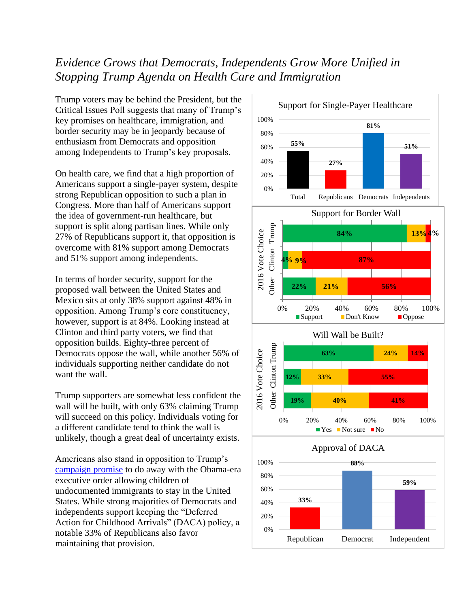#### *Evidence Grows that Democrats, Independents Grow More Unified in Stopping Trump Agenda on Health Care and Immigration*

Trump voters may be behind the President, but the Critical Issues Poll suggests that many of Trump's key promises on healthcare, immigration, and border security may be in jeopardy because of enthusiasm from Democrats and opposition among Independents to Trump's key proposals.

On health care, we find that a high proportion of Americans support a single-payer system, despite strong Republican opposition to such a plan in Congress. More than half of Americans support the idea of government-run healthcare, but support is split along partisan lines. While only 27% of Republicans support it, that opposition is overcome with 81% support among Democrats and 51% support among independents.

In terms of border security, support for the proposed wall between the United States and Mexico sits at only 38% support against 48% in opposition. Among Trump's core constituency, however, support is at 84%. Looking instead at Clinton and third party voters, we find that opposition builds. Eighty-three percent of Democrats oppose the wall, while another 56% of individuals supporting neither candidate do not want the wall.

Trump supporters are somewhat less confident the wall will be built, with only 63% claiming Trump will succeed on this policy. Individuals voting for a different candidate tend to think the wall is unlikely, though a great deal of uncertainty exists.

Americans also stand in opposition to Trump's [campaign promise](https://www.donaldjtrump.com/press-releases/donald-j.-trump-address-on-immigration) to do away with the Obama-era executive order allowing children of undocumented immigrants to stay in the United States. While strong majorities of Democrats and independents support keeping the "Deferred Action for Childhood Arrivals" (DACA) policy, a notable 33% of Republicans also favor maintaining that provision.

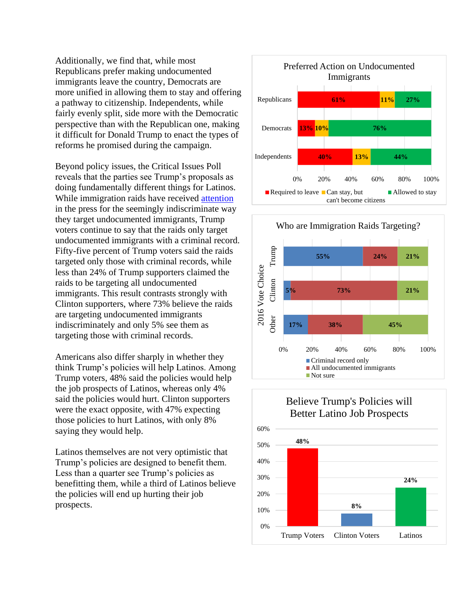Additionally, we find that, while most Republicans prefer making undocumented immigrants leave the country, Democrats are more unified in allowing them to stay and offering a pathway to citizenship. Independents, while fairly evenly split, side more with the Democratic perspective than with the Republican one, making it difficult for Donald Trump to enact the types of reforms he promised during the campaign.

Beyond policy issues, the Critical Issues Poll reveals that the parties see Trump's proposals as doing fundamentally different things for Latinos. While immigration raids have received [attention](https://www.usatoday.com/story/news/nation/2017/02/16/president-trump-immigration-raids-target-fewer-criminals/97988770/) in the press for the seemingly indiscriminate way they target undocumented immigrants, Trump voters continue to say that the raids only target undocumented immigrants with a criminal record. Fifty-five percent of Trump voters said the raids targeted only those with criminal records, while less than 24% of Trump supporters claimed the raids to be targeting all undocumented immigrants. This result contrasts strongly with Clinton supporters, where 73% believe the raids are targeting undocumented immigrants indiscriminately and only 5% see them as targeting those with criminal records.

Americans also differ sharply in whether they think Trump's policies will help Latinos. Among Trump voters, 48% said the policies would help the job prospects of Latinos, whereas only 4% said the policies would hurt. Clinton supporters were the exact opposite, with 47% expecting those policies to hurt Latinos, with only 8% saying they would help.

Latinos themselves are not very optimistic that Trump's policies are designed to benefit them. Less than a quarter see Trump's policies as benefitting them, while a third of Latinos believe the policies will end up hurting their job prospects.





#### Believe Trump's Policies will Better Latino Job Prospects

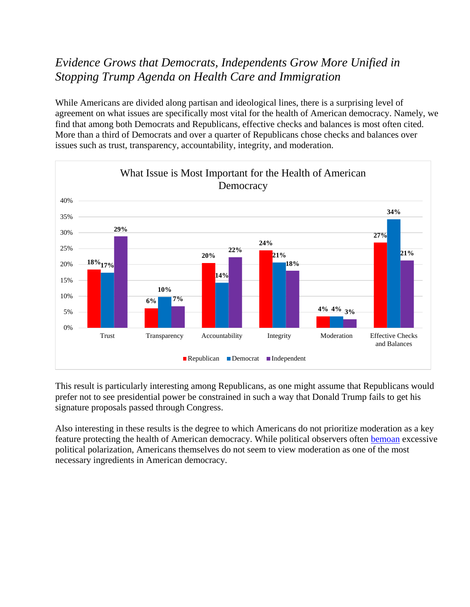### *Democrats and Republicans Agree on Importance of Checks and Balances*

While Americans are divided along partisan and ideological lines, there is a surprising level of agreement on what issues are specifically most vital for the health of American democracy. Namely, we find that among both Democrats and Republicans, effective checks and balances is most often cited. More than a third of Democrats and over a quarter of Republicans chose checks and balances over issues such as trust, transparency, accountability, integrity, and moderation.



This result is particularly interesting among Republicans, as one might assume that Republicans would prefer not to see presidential power be constrained in such a way that Donald Trump fails to get his signature proposals passed through Congress.

Also interesting in these results is the degree to which Americans do not prioritize moderation as a key feature protecting the health of American democracy. While political observers often [bemoan](https://www.washingtonpost.com/news/in-theory/wp/2016/03/07/is-it-possible-to-reverse-the-polarization-in-american-politics/?utm_term=.032c82b09064) excessive political polarization, Americans themselves do not seem to view moderation as one of the most necessary ingredients in American democracy.